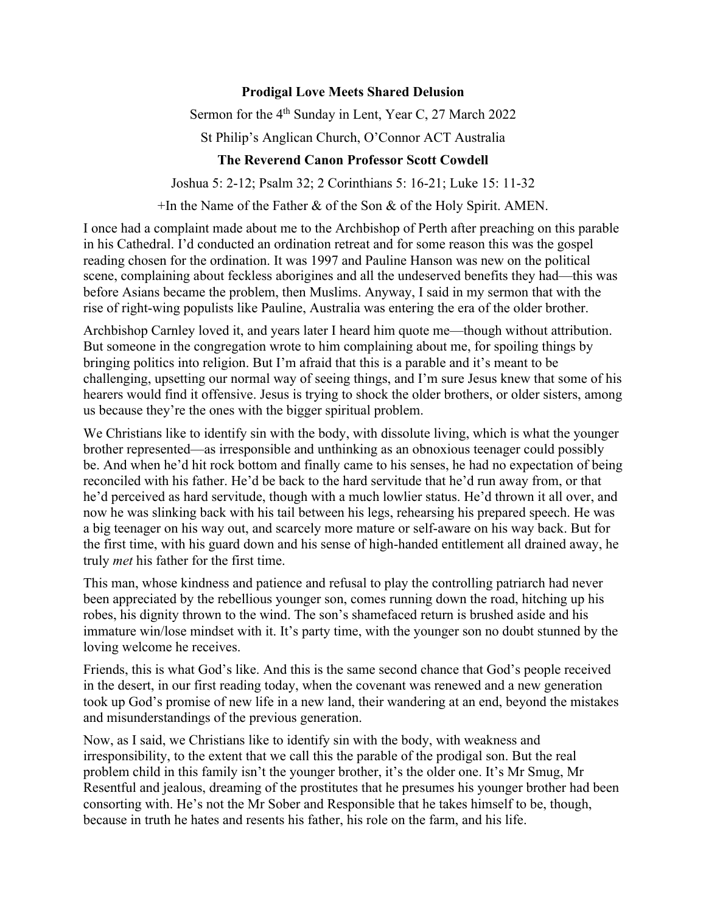## **Prodigal Love Meets Shared Delusion**

Sermon for the 4<sup>th</sup> Sunday in Lent, Year C, 27 March 2022

St Philip's Anglican Church, O'Connor ACT Australia

## **The Reverend Canon Professor Scott Cowdell**

Joshua 5: 2-12; Psalm 32; 2 Corinthians 5: 16-21; Luke 15: 11-32

+In the Name of the Father & of the Son & of the Holy Spirit. AMEN.

I once had a complaint made about me to the Archbishop of Perth after preaching on this parable in his Cathedral. I'd conducted an ordination retreat and for some reason this was the gospel reading chosen for the ordination. It was 1997 and Pauline Hanson was new on the political scene, complaining about feckless aborigines and all the undeserved benefits they had—this was before Asians became the problem, then Muslims. Anyway, I said in my sermon that with the rise of right-wing populists like Pauline, Australia was entering the era of the older brother.

Archbishop Carnley loved it, and years later I heard him quote me—though without attribution. But someone in the congregation wrote to him complaining about me, for spoiling things by bringing politics into religion. But I'm afraid that this is a parable and it's meant to be challenging, upsetting our normal way of seeing things, and I'm sure Jesus knew that some of his hearers would find it offensive. Jesus is trying to shock the older brothers, or older sisters, among us because they're the ones with the bigger spiritual problem.

We Christians like to identify sin with the body, with dissolute living, which is what the younger brother represented—as irresponsible and unthinking as an obnoxious teenager could possibly be. And when he'd hit rock bottom and finally came to his senses, he had no expectation of being reconciled with his father. He'd be back to the hard servitude that he'd run away from, or that he'd perceived as hard servitude, though with a much lowlier status. He'd thrown it all over, and now he was slinking back with his tail between his legs, rehearsing his prepared speech. He was a big teenager on his way out, and scarcely more mature or self-aware on his way back. But for the first time, with his guard down and his sense of high-handed entitlement all drained away, he truly *met* his father for the first time.

This man, whose kindness and patience and refusal to play the controlling patriarch had never been appreciated by the rebellious younger son, comes running down the road, hitching up his robes, his dignity thrown to the wind. The son's shamefaced return is brushed aside and his immature win/lose mindset with it. It's party time, with the younger son no doubt stunned by the loving welcome he receives.

Friends, this is what God's like. And this is the same second chance that God's people received in the desert, in our first reading today, when the covenant was renewed and a new generation took up God's promise of new life in a new land, their wandering at an end, beyond the mistakes and misunderstandings of the previous generation.

Now, as I said, we Christians like to identify sin with the body, with weakness and irresponsibility, to the extent that we call this the parable of the prodigal son. But the real problem child in this family isn't the younger brother, it's the older one. It's Mr Smug, Mr Resentful and jealous, dreaming of the prostitutes that he presumes his younger brother had been consorting with. He's not the Mr Sober and Responsible that he takes himself to be, though, because in truth he hates and resents his father, his role on the farm, and his life.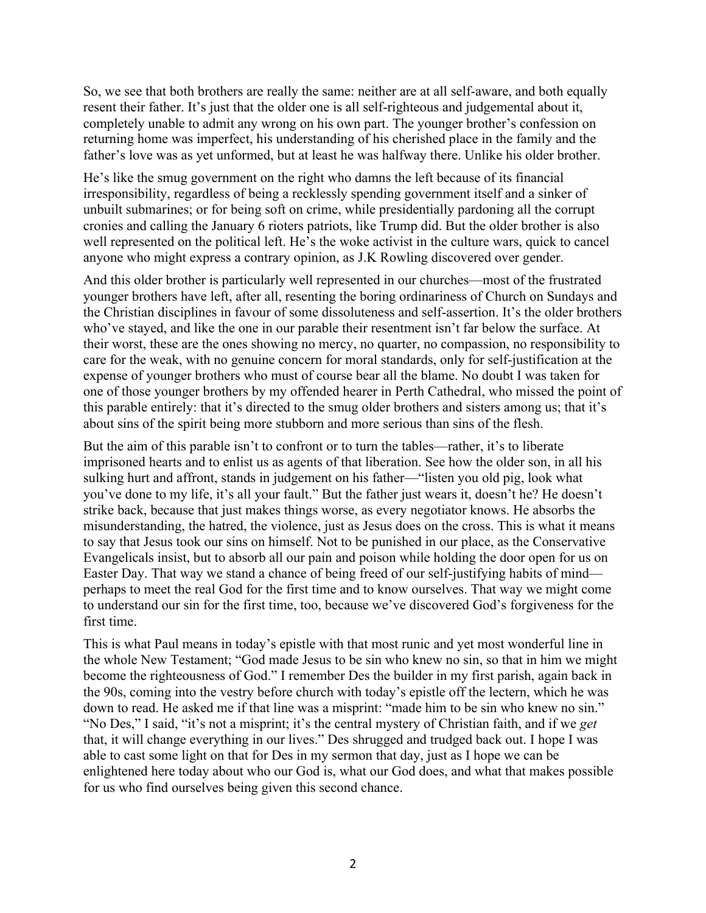So, we see that both brothers are really the same: neither are at all self-aware, and both equally resent their father. It's just that the older one is all self-righteous and judgemental about it, completely unable to admit any wrong on his own part. The younger brother's confession on returning home was imperfect, his understanding of his cherished place in the family and the father's love was as yet unformed, but at least he was halfway there. Unlike his older brother.

He's like the smug government on the right who damns the left because of its financial irresponsibility, regardless of being a recklessly spending government itself and a sinker of unbuilt submarines; or for being soft on crime, while presidentially pardoning all the corrupt cronies and calling the January 6 rioters patriots, like Trump did. But the older brother is also well represented on the political left. He's the woke activist in the culture wars, quick to cancel anyone who might express a contrary opinion, as J.K Rowling discovered over gender.

And this older brother is particularly well represented in our churches—most of the frustrated younger brothers have left, after all, resenting the boring ordinariness of Church on Sundays and the Christian disciplines in favour of some dissoluteness and self-assertion. It's the older brothers who've stayed, and like the one in our parable their resentment isn't far below the surface. At their worst, these are the ones showing no mercy, no quarter, no compassion, no responsibility to care for the weak, with no genuine concern for moral standards, only for self-justification at the expense of younger brothers who must of course bear all the blame. No doubt I was taken for one of those younger brothers by my offended hearer in Perth Cathedral, who missed the point of this parable entirely: that it's directed to the smug older brothers and sisters among us; that it's about sins of the spirit being more stubborn and more serious than sins of the flesh.

But the aim of this parable isn't to confront or to turn the tables—rather, it's to liberate imprisoned hearts and to enlist us as agents of that liberation. See how the older son, in all his sulking hurt and affront, stands in judgement on his father—"listen you old pig, look what you've done to my life, it's all your fault." But the father just wears it, doesn't he? He doesn't strike back, because that just makes things worse, as every negotiator knows. He absorbs the misunderstanding, the hatred, the violence, just as Jesus does on the cross. This is what it means to say that Jesus took our sins on himself. Not to be punished in our place, as the Conservative Evangelicals insist, but to absorb all our pain and poison while holding the door open for us on Easter Day. That way we stand a chance of being freed of our self-justifying habits of mind perhaps to meet the real God for the first time and to know ourselves. That way we might come to understand our sin for the first time, too, because we've discovered God's forgiveness for the first time.

This is what Paul means in today's epistle with that most runic and yet most wonderful line in the whole New Testament; "God made Jesus to be sin who knew no sin, so that in him we might become the righteousness of God." I remember Des the builder in my first parish, again back in the 90s, coming into the vestry before church with today's epistle off the lectern, which he was down to read. He asked me if that line was a misprint: "made him to be sin who knew no sin." "No Des," I said, "it's not a misprint; it's the central mystery of Christian faith, and if we *get* that, it will change everything in our lives." Des shrugged and trudged back out. I hope I was able to cast some light on that for Des in my sermon that day, just as I hope we can be enlightened here today about who our God is, what our God does, and what that makes possible for us who find ourselves being given this second chance.